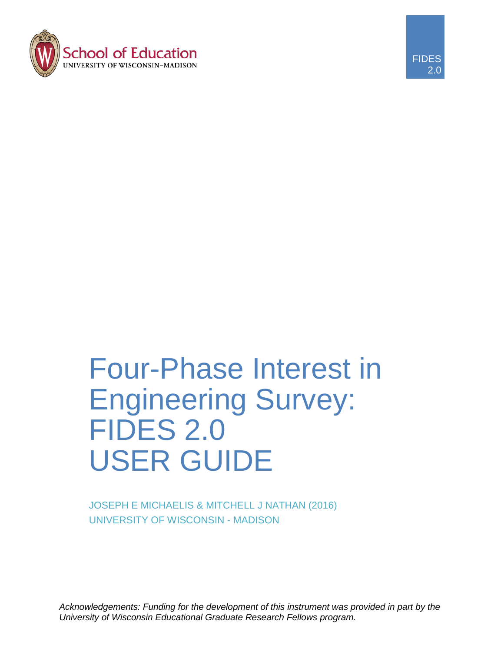



# Four-Phase Interest in Engineering Survey: FIDES 2.0 USER GUIDE

JOSEPH E MICHAELIS & MITCHELL J NATHAN (2016) UNIVERSITY OF WISCONSIN - MADISON

*Acknowledgements: Funding for the development of this instrument was provided in part by the University of Wisconsin Educational Graduate Research Fellows program.*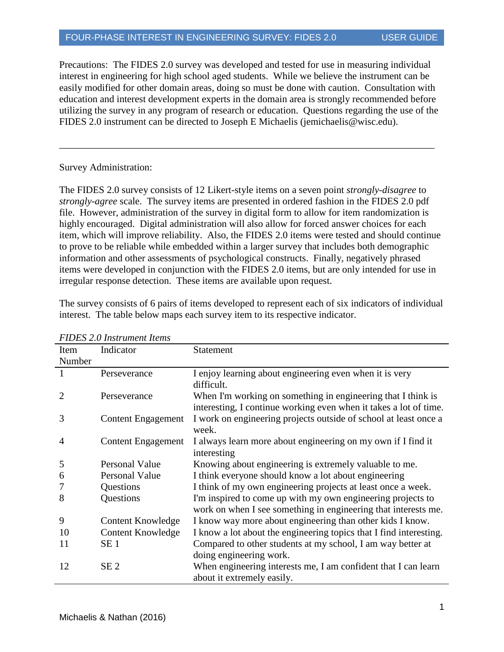Precautions: The FIDES 2.0 survey was developed and tested for use in measuring individual interest in engineering for high school aged students. While we believe the instrument can be easily modified for other domain areas, doing so must be done with caution. Consultation with education and interest development experts in the domain area is strongly recommended before utilizing the survey in any program of research or education. Questions regarding the use of the FIDES 2.0 instrument can be directed to Joseph E Michaelis (jemichaelis@wisc.edu).

\_\_\_\_\_\_\_\_\_\_\_\_\_\_\_\_\_\_\_\_\_\_\_\_\_\_\_\_\_\_\_\_\_\_\_\_\_\_\_\_\_\_\_\_\_\_\_\_\_\_\_\_\_\_\_\_\_\_\_\_\_\_\_\_\_\_\_\_\_\_\_\_\_\_\_\_

#### Survey Administration:

The FIDES 2.0 survey consists of 12 Likert-style items on a seven point *strongly-disagree* to *strongly-agree* scale. The survey items are presented in ordered fashion in the FIDES 2.0 pdf file. However, administration of the survey in digital form to allow for item randomization is highly encouraged. Digital administration will also allow for forced answer choices for each item, which will improve reliability. Also, the FIDES 2.0 items were tested and should continue to prove to be reliable while embedded within a larger survey that includes both demographic information and other assessments of psychological constructs. Finally, negatively phrased items were developed in conjunction with the FIDES 2.0 items, but are only intended for use in irregular response detection. These items are available upon request.

The survey consists of 6 pairs of items developed to represent each of six indicators of individual interest. The table below maps each survey item to its respective indicator.

| Item           | Indicator                 | <b>Statement</b>                                                                                                                  |
|----------------|---------------------------|-----------------------------------------------------------------------------------------------------------------------------------|
| Number         |                           |                                                                                                                                   |
| 1              | Perseverance              | I enjoy learning about engineering even when it is very<br>difficult.                                                             |
| $\overline{2}$ | Perseverance              | When I'm working on something in engineering that I think is<br>interesting, I continue working even when it takes a lot of time. |
| 3              | <b>Content Engagement</b> | I work on engineering projects outside of school at least once a<br>week.                                                         |
| 4              | <b>Content Engagement</b> | I always learn more about engineering on my own if I find it<br>interesting                                                       |
| 5              | Personal Value            | Knowing about engineering is extremely valuable to me.                                                                            |
| 6              | Personal Value            | I think everyone should know a lot about engineering                                                                              |
|                | Questions                 | I think of my own engineering projects at least once a week.                                                                      |
| 8              | Questions                 | I'm inspired to come up with my own engineering projects to                                                                       |
|                |                           | work on when I see something in engineering that interests me.                                                                    |
| 9              | Content Knowledge         | I know way more about engineering than other kids I know.                                                                         |
| 10             | Content Knowledge         | I know a lot about the engineering topics that I find interesting.                                                                |
| 11             | SE <sub>1</sub>           | Compared to other students at my school, I am way better at                                                                       |
|                |                           | doing engineering work.                                                                                                           |
| 12             | SE <sub>2</sub>           | When engineering interests me, I am confident that I can learn<br>about it extremely easily.                                      |

#### *FIDES 2.0 Instrument Items*